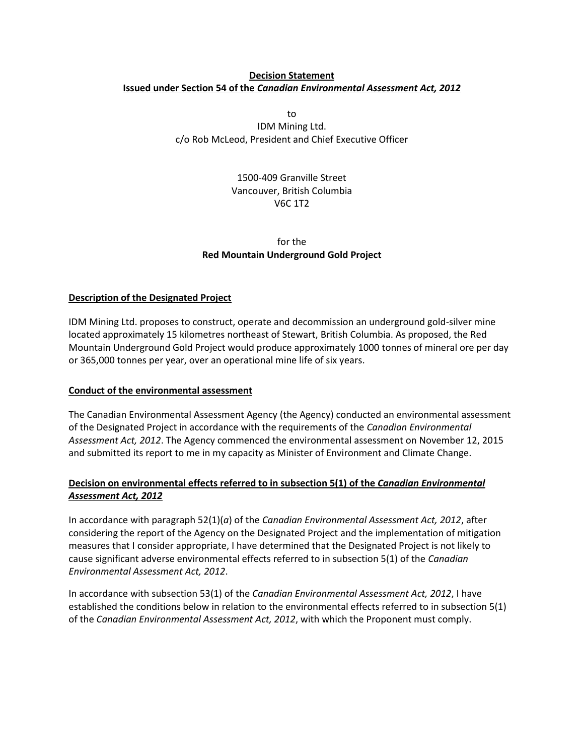# **Decision Statement Issued under Section 54 of the** *Canadian Environmental Assessment Act, 2012*

to IDM Mining Ltd. c/o Rob McLeod, President and Chief Executive Officer

> 1500-409 Granville Street Vancouver, British Columbia V6C 1T2

# for the **Red Mountain Underground Gold Project**

# **Description of the Designated Project**

IDM Mining Ltd. proposes to construct, operate and decommission an underground gold-silver mine located approximately 15 kilometres northeast of Stewart, British Columbia. As proposed, the Red Mountain Underground Gold Project would produce approximately 1000 tonnes of mineral ore per day or 365,000 tonnes per year, over an operational mine life of six years.

## **Conduct of the environmental assessment**

The Canadian Environmental Assessment Agency (the Agency) conducted an environmental assessment of the Designated Project in accordance with the requirements of the *Canadian Environmental Assessment Act, 2012*. The Agency commenced the environmental assessment on November 12, 2015 and submitted its report to me in my capacity as Minister of Environment and Climate Change.

# **Decision on environmental effects referred to in subsection 5(1) of the** *Canadian Environmental Assessment Act, 2012*

In accordance with paragraph 52(1)(*a*) of the *Canadian Environmental Assessment Act, 2012*, after considering the report of the Agency on the Designated Project and the implementation of mitigation measures that I consider appropriate, I have determined that the Designated Project is not likely to cause significant adverse environmental effects referred to in subsection 5(1) of the *Canadian Environmental Assessment Act, 2012*.

In accordance with subsection 53(1) of the *Canadian Environmental Assessment Act, 2012*, I have established the conditions below in relation to the environmental effects referred to in subsection 5(1) of the *Canadian Environmental Assessment Act, 2012*, with which the Proponent must comply.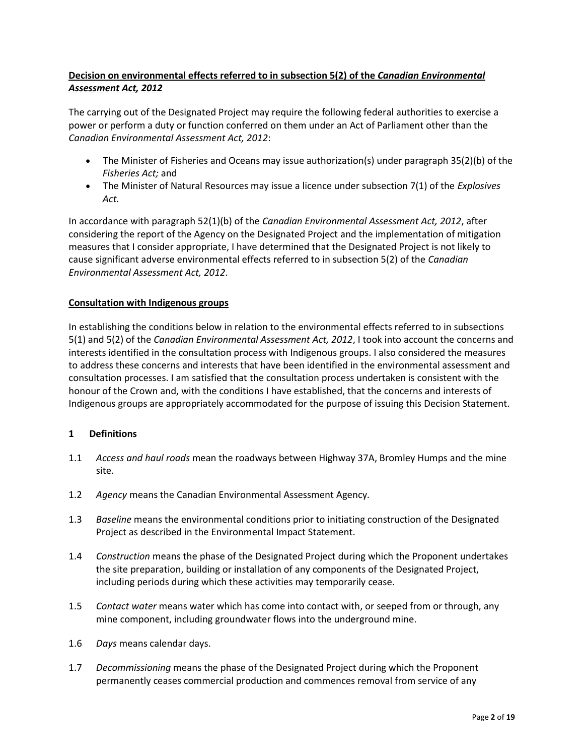# **Decision on environmental effects referred to in subsection 5(2) of the** *Canadian Environmental Assessment Act, 2012*

The carrying out of the Designated Project may require the following federal authorities to exercise a power or perform a duty or function conferred on them under an Act of Parliament other than the *Canadian Environmental Assessment Act, 2012*:

- The Minister of Fisheries and Oceans may issue authorization(s) under paragraph 35(2)(b) of the *Fisheries Act;* and
- The Minister of Natural Resources may issue a licence under subsection 7(1) of the *Explosives Act.*

In accordance with paragraph 52(1)(b) of the *Canadian Environmental Assessment Act, 2012*, after considering the report of the Agency on the Designated Project and the implementation of mitigation measures that I consider appropriate, I have determined that the Designated Project is not likely to cause significant adverse environmental effects referred to in subsection 5(2) of the *Canadian Environmental Assessment Act, 2012*.

## **Consultation with Indigenous groups**

In establishing the conditions below in relation to the environmental effects referred to in subsections 5(1) and 5(2) of the *Canadian Environmental Assessment Act, 2012*, I took into account the concerns and interests identified in the consultation process with Indigenous groups. I also considered the measures to address these concerns and interests that have been identified in the environmental assessment and consultation processes. I am satisfied that the consultation process undertaken is consistent with the honour of the Crown and, with the conditions I have established, that the concerns and interests of Indigenous groups are appropriately accommodated for the purpose of issuing this Decision Statement.

## **1 Definitions**

- 1.1 *Access and haul roads* mean the roadways between Highway 37A, Bromley Humps and the mine site.
- 1.2 *Agency* means the Canadian Environmental Assessment Agency*.*
- 1.3 *Baseline* means the environmental conditions prior to initiating construction of the Designated Project as described in the Environmental Impact Statement.
- 1.4 *Construction* means the phase of the Designated Project during which the Proponent undertakes the site preparation, building or installation of any components of the Designated Project, including periods during which these activities may temporarily cease.
- 1.5 *Contact water* means water which has come into contact with, or seeped from or through, any mine component, including groundwater flows into the underground mine.
- 1.6 *Days* means calendar days.
- 1.7 *Decommissioning* means the phase of the Designated Project during which the Proponent permanently ceases commercial production and commences removal from service of any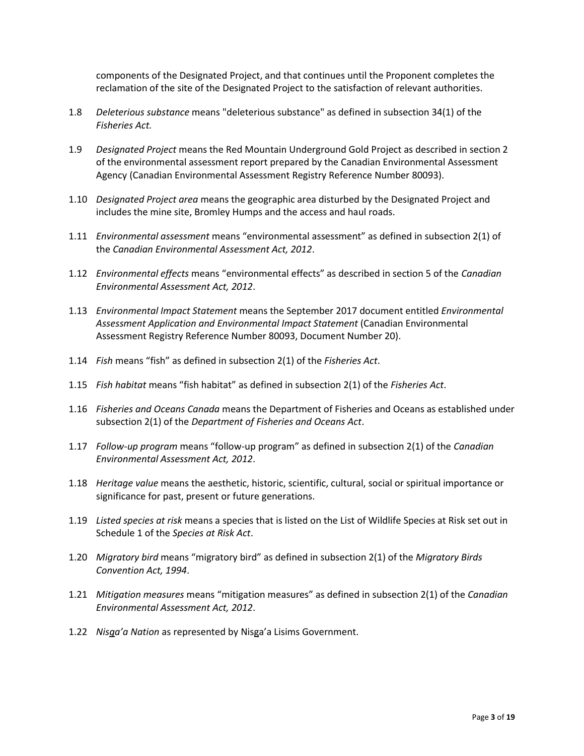components of the Designated Project, and that continues until the Proponent completes the reclamation of the site of the Designated Project to the satisfaction of relevant authorities.

- 1.8 *Deleterious substance* means "deleterious substance" as defined in subsection 34(1) of the *Fisheries Act.*
- 1.9 *Designated Project* means the Red Mountain Underground Gold Project as described in section 2 of the environmental assessment report prepared by the Canadian Environmental Assessment Agency (Canadian Environmental Assessment Registry Reference Number 80093).
- 1.10 *Designated Project area* means the geographic area disturbed by the Designated Project and includes the mine site, Bromley Humps and the access and haul roads.
- 1.11 *Environmental assessment* means "environmental assessment" as defined in subsection 2(1) of the *Canadian Environmental Assessment Act, 2012*.
- 1.12 *Environmental effects* means "environmental effects" as described in section 5 of the *Canadian Environmental Assessment Act, 2012*.
- 1.13 *Environmental Impact Statement* means the September 2017 document entitled *Environmental Assessment Application and Environmental Impact Statement* (Canadian Environmental Assessment Registry Reference Number 80093, Document Number 20).
- 1.14 *Fish* means "fish" as defined in subsection 2(1) of the *Fisheries Act*.
- 1.15 *Fish habitat* means "fish habitat" as defined in subsection 2(1) of the *Fisheries Act*.
- 1.16 *Fisheries and Oceans Canada* means the Department of Fisheries and Oceans as established under subsection 2(1) of the *Department of Fisheries and Oceans Act*.
- 1.17 *Follow-up program* means "follow-up program" as defined in subsection 2(1) of the *Canadian Environmental Assessment Act, 2012*.
- 1.18 *Heritage value* means the aesthetic, historic, scientific, cultural, social or spiritual importance or significance for past, present or future generations.
- 1.19 *Listed species at risk* means a species that is listed on the List of Wildlife Species at Risk set out in Schedule 1 of the *Species at Risk Act*.
- 1.20 *Migratory bird* means "migratory bird" as defined in subsection 2(1) of the *Migratory Birds Convention Act, 1994*.
- 1.21 *Mitigation measures* means "mitigation measures" as defined in subsection 2(1) of the *Canadian Environmental Assessment Act, 2012*.
- 1.22 *Nisga'a Nation* as represented by Nisga'a Lisims Government.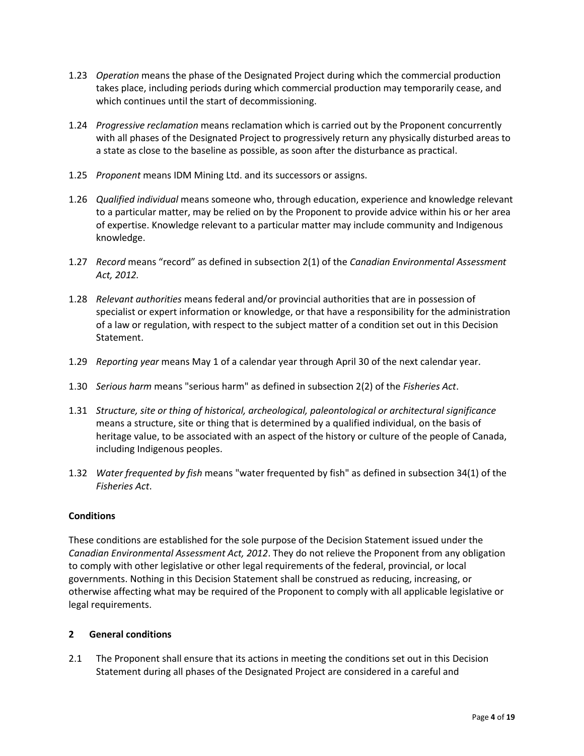- 1.23 *Operation* means the phase of the Designated Project during which the commercial production takes place, including periods during which commercial production may temporarily cease, and which continues until the start of decommissioning.
- 1.24 *Progressive reclamation* means reclamation which is carried out by the Proponent concurrently with all phases of the Designated Project to progressively return any physically disturbed areas to a state as close to the baseline as possible, as soon after the disturbance as practical.
- 1.25 *Proponent* means IDM Mining Ltd. and its successors or assigns.
- 1.26 *Qualified individual* means someone who, through education, experience and knowledge relevant to a particular matter, may be relied on by the Proponent to provide advice within his or her area of expertise. Knowledge relevant to a particular matter may include community and Indigenous knowledge.
- 1.27 *Record* means "record" as defined in subsection 2(1) of the *Canadian Environmental Assessment Act, 2012.*
- 1.28 *Relevant authorities* means federal and/or provincial authorities that are in possession of specialist or expert information or knowledge, or that have a responsibility for the administration of a law or regulation, with respect to the subject matter of a condition set out in this Decision Statement.
- 1.29 *Reporting year* means May 1 of a calendar year through April 30 of the next calendar year.
- 1.30 *Serious harm* means "serious harm" as defined in subsection 2(2) of the *Fisheries Act*.
- 1.31 *Structure, site or thing of historical, archeological, paleontological or architectural significance* means a structure, site or thing that is determined by a qualified individual, on the basis of heritage value, to be associated with an aspect of the history or culture of the people of Canada, including Indigenous peoples.
- 1.32 *Water frequented by fish* means "water frequented by fish" as defined in subsection 34(1) of the *Fisheries Act*.

#### **Conditions**

These conditions are established for the sole purpose of the Decision Statement issued under the *Canadian Environmental Assessment Act, 2012*. They do not relieve the Proponent from any obligation to comply with other legislative or other legal requirements of the federal, provincial, or local governments. Nothing in this Decision Statement shall be construed as reducing, increasing, or otherwise affecting what may be required of the Proponent to comply with all applicable legislative or legal requirements.

#### **2 General conditions**

2.1 The Proponent shall ensure that its actions in meeting the conditions set out in this Decision Statement during all phases of the Designated Project are considered in a careful and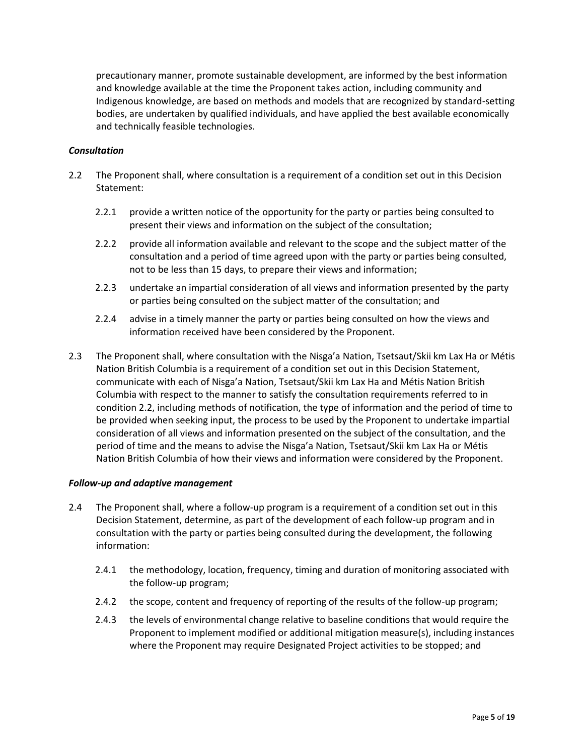precautionary manner, promote sustainable development, are informed by the best information and knowledge available at the time the Proponent takes action, including community and Indigenous knowledge, are based on methods and models that are recognized by standard-setting bodies, are undertaken by qualified individuals, and have applied the best available economically and technically feasible technologies.

### *Consultation*

- 2.2 The Proponent shall, where consultation is a requirement of a condition set out in this Decision Statement:
	- 2.2.1 provide a written notice of the opportunity for the party or parties being consulted to present their views and information on the subject of the consultation;
	- 2.2.2 provide all information available and relevant to the scope and the subject matter of the consultation and a period of time agreed upon with the party or parties being consulted, not to be less than 15 days, to prepare their views and information;
	- 2.2.3 undertake an impartial consideration of all views and information presented by the party or parties being consulted on the subject matter of the consultation; and
	- 2.2.4 advise in a timely manner the party or parties being consulted on how the views and information received have been considered by the Proponent.
- 2.3 The Proponent shall, where consultation with the Nisga'a Nation, Tsetsaut/Skii km Lax Ha or Métis Nation British Columbia is a requirement of a condition set out in this Decision Statement, communicate with each of Nisga'a Nation, Tsetsaut/Skii km Lax Ha and Métis Nation British Columbia with respect to the manner to satisfy the consultation requirements referred to in condition 2.2, including methods of notification, the type of information and the period of time to be provided when seeking input, the process to be used by the Proponent to undertake impartial consideration of all views and information presented on the subject of the consultation, and the period of time and the means to advise the Nisga'a Nation, Tsetsaut/Skii km Lax Ha or Métis Nation British Columbia of how their views and information were considered by the Proponent.

#### *Follow-up and adaptive management*

- 2.4 The Proponent shall, where a follow-up program is a requirement of a condition set out in this Decision Statement, determine, as part of the development of each follow-up program and in consultation with the party or parties being consulted during the development, the following information:
	- 2.4.1 the methodology, location, frequency, timing and duration of monitoring associated with the follow-up program;
	- 2.4.2 the scope, content and frequency of reporting of the results of the follow-up program;
	- 2.4.3 the levels of environmental change relative to baseline conditions that would require the Proponent to implement modified or additional mitigation measure(s), including instances where the Proponent may require Designated Project activities to be stopped; and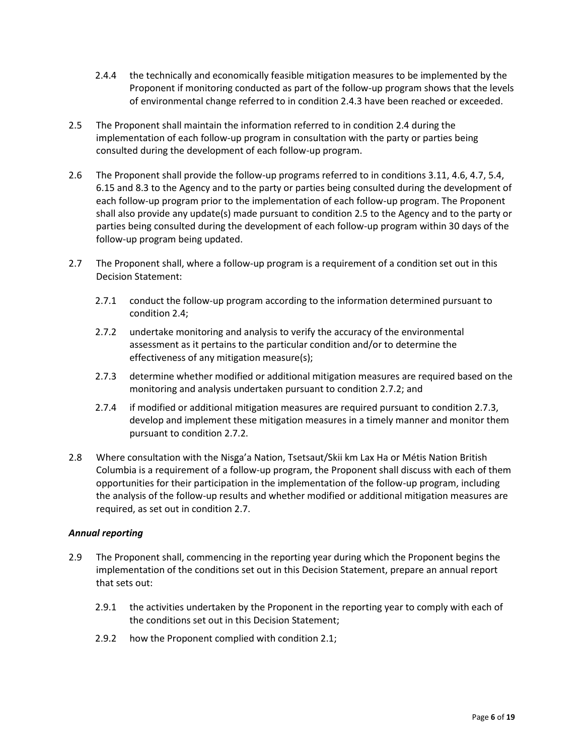- 2.4.4 the technically and economically feasible mitigation measures to be implemented by the Proponent if monitoring conducted as part of the follow-up program shows that the levels of environmental change referred to in condition 2.4.3 have been reached or exceeded.
- 2.5 The Proponent shall maintain the information referred to in condition 2.4 during the implementation of each follow-up program in consultation with the party or parties being consulted during the development of each follow-up program.
- 2.6 The Proponent shall provide the follow-up programs referred to in conditions 3.11, 4.6, 4.7, 5.4, 6.15 and 8.3 to the Agency and to the party or parties being consulted during the development of each follow-up program prior to the implementation of each follow-up program. The Proponent shall also provide any update(s) made pursuant to condition 2.5 to the Agency and to the party or parties being consulted during the development of each follow-up program within 30 days of the follow-up program being updated.
- 2.7 The Proponent shall, where a follow-up program is a requirement of a condition set out in this Decision Statement:
	- 2.7.1 conduct the follow-up program according to the information determined pursuant to condition 2.4;
	- 2.7.2 undertake monitoring and analysis to verify the accuracy of the environmental assessment as it pertains to the particular condition and/or to determine the effectiveness of any mitigation measure(s);
	- 2.7.3 determine whether modified or additional mitigation measures are required based on the monitoring and analysis undertaken pursuant to condition 2.7.2; and
	- 2.7.4 if modified or additional mitigation measures are required pursuant to condition 2.7.3, develop and implement these mitigation measures in a timely manner and monitor them pursuant to condition 2.7.2.
- 2.8 Where consultation with the Nisga'a Nation, Tsetsaut/Skii km Lax Ha or Métis Nation British Columbia is a requirement of a follow-up program, the Proponent shall discuss with each of them opportunities for their participation in the implementation of the follow-up program, including the analysis of the follow-up results and whether modified or additional mitigation measures are required, as set out in condition 2.7.

## *Annual reporting*

- 2.9 The Proponent shall, commencing in the reporting year during which the Proponent begins the implementation of the conditions set out in this Decision Statement, prepare an annual report that sets out:
	- 2.9.1 the activities undertaken by the Proponent in the reporting year to comply with each of the conditions set out in this Decision Statement;
	- 2.9.2 how the Proponent complied with condition 2.1;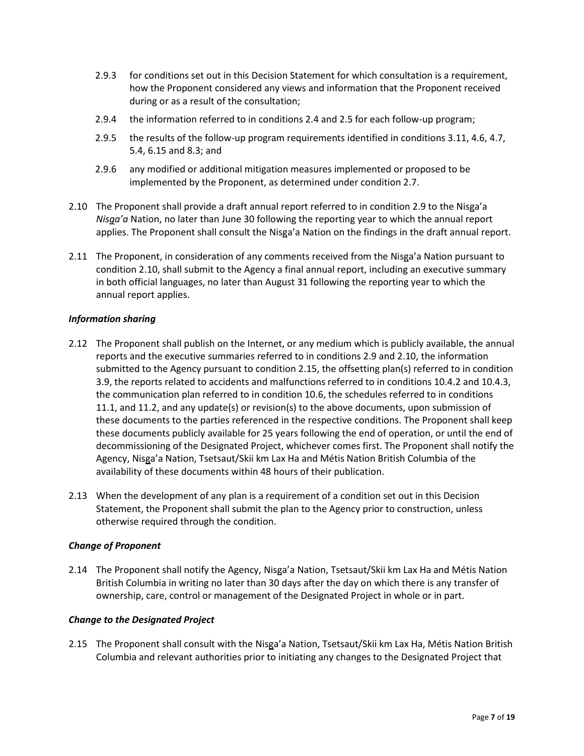- 2.9.3 for conditions set out in this Decision Statement for which consultation is a requirement, how the Proponent considered any views and information that the Proponent received during or as a result of the consultation;
- 2.9.4 the information referred to in conditions 2.4 and 2.5 for each follow-up program;
- 2.9.5 the results of the follow-up program requirements identified in conditions 3.11, 4.6, 4.7, 5.4, 6.15 and 8.3; and
- 2.9.6 any modified or additional mitigation measures implemented or proposed to be implemented by the Proponent, as determined under condition 2.7.
- 2.10 The Proponent shall provide a draft annual report referred to in condition 2.9 to the Nisga'a *Nisga'a* Nation, no later than June 30 following the reporting year to which the annual report applies. The Proponent shall consult the Nisga'a Nation on the findings in the draft annual report.
- 2.11 The Proponent, in consideration of any comments received from the Nisga'a Nation pursuant to condition 2.10, shall submit to the Agency a final annual report, including an executive summary in both official languages, no later than August 31 following the reporting year to which the annual report applies.

### *Information sharing*

- 2.12 The Proponent shall publish on the Internet, or any medium which is publicly available, the annual reports and the executive summaries referred to in conditions 2.9 and 2.10, the information submitted to the Agency pursuant to condition 2.15, the offsetting plan(s) referred to in condition 3.9, the reports related to accidents and malfunctions referred to in conditions 10.4.2 and 10.4.3, the communication plan referred to in condition 10.6, the schedules referred to in conditions 11.1, and 11.2, and any update(s) or revision(s) to the above documents, upon submission of these documents to the parties referenced in the respective conditions. The Proponent shall keep these documents publicly available for 25 years following the end of operation, or until the end of decommissioning of the Designated Project, whichever comes first. The Proponent shall notify the Agency, Nisga'a Nation, Tsetsaut/Skii km Lax Ha and Métis Nation British Columbia of the availability of these documents within 48 hours of their publication.
- 2.13 When the development of any plan is a requirement of a condition set out in this Decision Statement, the Proponent shall submit the plan to the Agency prior to construction, unless otherwise required through the condition.

#### *Change of Proponent*

2.14 The Proponent shall notify the Agency, Nisga'a Nation, Tsetsaut/Skii km Lax Ha and Métis Nation British Columbia in writing no later than 30 days after the day on which there is any transfer of ownership, care, control or management of the Designated Project in whole or in part.

#### *Change to the Designated Project*

2.15 The Proponent shall consult with the Nisga'a Nation, Tsetsaut/Skii km Lax Ha, Métis Nation British Columbia and relevant authorities prior to initiating any changes to the Designated Project that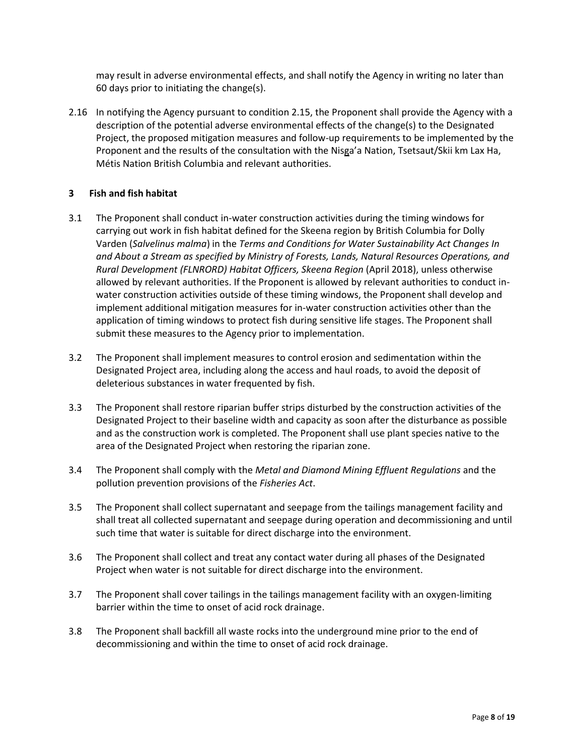may result in adverse environmental effects, and shall notify the Agency in writing no later than 60 days prior to initiating the change(s).

2.16 In notifying the Agency pursuant to condition 2.15, the Proponent shall provide the Agency with a description of the potential adverse environmental effects of the change(s) to the Designated Project, the proposed mitigation measures and follow-up requirements to be implemented by the Proponent and the results of the consultation with the Nisga'a Nation, Tsetsaut/Skii km Lax Ha, Métis Nation British Columbia and relevant authorities.

### **3 Fish and fish habitat**

- 3.1 The Proponent shall conduct in-water construction activities during the timing windows for carrying out work in fish habitat defined for the Skeena region by British Columbia for Dolly Varden (*Salvelinus malma*) in the *Terms and Conditions for Water Sustainability Act Changes In and About a Stream as specified by Ministry of Forests, Lands, Natural Resources Operations, and Rural Development (FLNRORD) Habitat Officers, Skeena Region* (April 2018), unless otherwise allowed by relevant authorities. If the Proponent is allowed by relevant authorities to conduct inwater construction activities outside of these timing windows, the Proponent shall develop and implement additional mitigation measures for in-water construction activities other than the application of timing windows to protect fish during sensitive life stages. The Proponent shall submit these measures to the Agency prior to implementation.
- 3.2 The Proponent shall implement measures to control erosion and sedimentation within the Designated Project area, including along the access and haul roads, to avoid the deposit of deleterious substances in water frequented by fish.
- 3.3 The Proponent shall restore riparian buffer strips disturbed by the construction activities of the Designated Project to their baseline width and capacity as soon after the disturbance as possible and as the construction work is completed. The Proponent shall use plant species native to the area of the Designated Project when restoring the riparian zone.
- 3.4 The Proponent shall comply with the *Metal and Diamond Mining Effluent Regulations* and the pollution prevention provisions of the *Fisheries Act*.
- 3.5 The Proponent shall collect supernatant and seepage from the tailings management facility and shall treat all collected supernatant and seepage during operation and decommissioning and until such time that water is suitable for direct discharge into the environment.
- 3.6 The Proponent shall collect and treat any contact water during all phases of the Designated Project when water is not suitable for direct discharge into the environment.
- 3.7 The Proponent shall cover tailings in the tailings management facility with an oxygen-limiting barrier within the time to onset of acid rock drainage.
- 3.8 The Proponent shall backfill all waste rocks into the underground mine prior to the end of decommissioning and within the time to onset of acid rock drainage.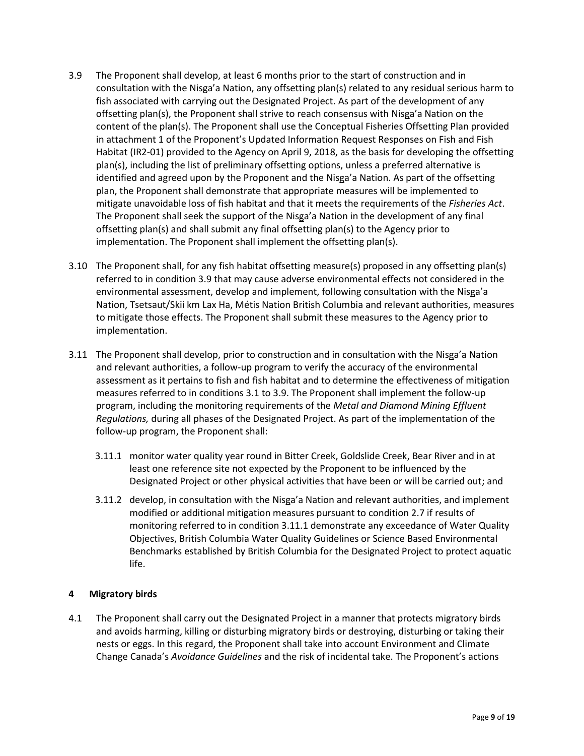- 3.9 The Proponent shall develop, at least 6 months prior to the start of construction and in consultation with the Nisga'a Nation, any offsetting plan(s) related to any residual serious harm to fish associated with carrying out the Designated Project. As part of the development of any offsetting plan(s), the Proponent shall strive to reach consensus with Nisga'a Nation on the content of the plan(s). The Proponent shall use the Conceptual Fisheries Offsetting Plan provided in attachment 1 of the Proponent's Updated Information Request Responses on Fish and Fish Habitat (IR2-01) provided to the Agency on April 9, 2018, as the basis for developing the offsetting plan(s), including the list of preliminary offsetting options, unless a preferred alternative is identified and agreed upon by the Proponent and the Nisga'a Nation. As part of the offsetting plan, the Proponent shall demonstrate that appropriate measures will be implemented to mitigate unavoidable loss of fish habitat and that it meets the requirements of the *Fisheries Act*. The Proponent shall seek the support of the Nisga'a Nation in the development of any final offsetting plan(s) and shall submit any final offsetting plan(s) to the Agency prior to implementation. The Proponent shall implement the offsetting plan(s).
- 3.10 The Proponent shall, for any fish habitat offsetting measure(s) proposed in any offsetting plan(s) referred to in condition 3.9 that may cause adverse environmental effects not considered in the environmental assessment, develop and implement, following consultation with the Nisga'a Nation, Tsetsaut/Skii km Lax Ha, Métis Nation British Columbia and relevant authorities, measures to mitigate those effects. The Proponent shall submit these measures to the Agency prior to implementation.
- 3.11 The Proponent shall develop, prior to construction and in consultation with the Nisga'a Nation and relevant authorities, a follow-up program to verify the accuracy of the environmental assessment as it pertains to fish and fish habitat and to determine the effectiveness of mitigation measures referred to in conditions 3.1 to 3.9. The Proponent shall implement the follow-up program, including the monitoring requirements of the *Metal and Diamond Mining Effluent Regulations,* during all phases of the Designated Project. As part of the implementation of the follow-up program, the Proponent shall:
	- 3.11.1 monitor water quality year round in Bitter Creek, Goldslide Creek, Bear River and in at least one reference site not expected by the Proponent to be influenced by the Designated Project or other physical activities that have been or will be carried out; and
	- 3.11.2 develop, in consultation with the Nisga'a Nation and relevant authorities, and implement modified or additional mitigation measures pursuant to condition 2.7 if results of monitoring referred to in condition 3.11.1 demonstrate any exceedance of Water Quality Objectives, British Columbia Water Quality Guidelines or Science Based Environmental Benchmarks established by British Columbia for the Designated Project to protect aquatic life.

## **4 Migratory birds**

4.1 The Proponent shall carry out the Designated Project in a manner that protects migratory birds and avoids harming, killing or disturbing migratory birds or destroying, disturbing or taking their nests or eggs. In this regard, the Proponent shall take into account Environment and Climate Change Canada's *Avoidance Guidelines* and the risk of incidental take. The Proponent's actions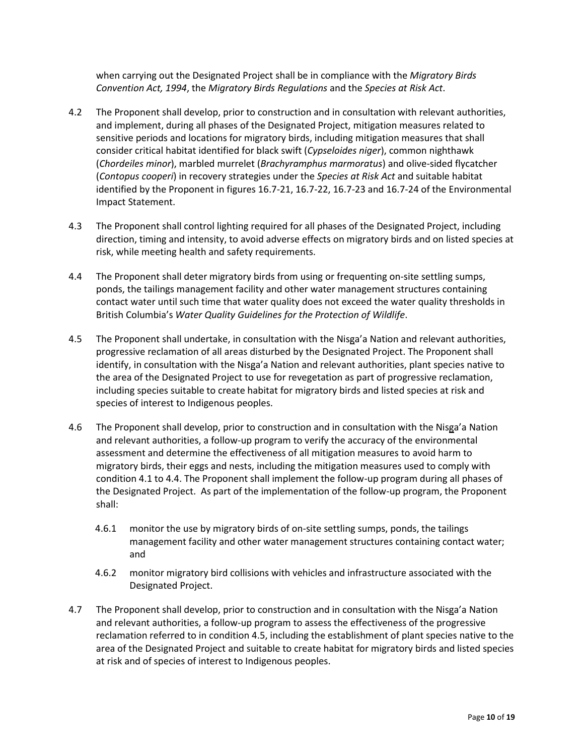when carrying out the Designated Project shall be in compliance with the *Migratory Birds Convention Act, 1994*, the *Migratory Birds Regulations* and the *Species at Risk Act*.

- 4.2 The Proponent shall develop, prior to construction and in consultation with relevant authorities, and implement, during all phases of the Designated Project, mitigation measures related to sensitive periods and locations for migratory birds, including mitigation measures that shall consider critical habitat identified for black swift (*Cypseloides niger*), common nighthawk (*Chordeiles minor*), marbled murrelet (*Brachyramphus marmoratus*) and olive-sided flycatcher (*Contopus cooperi*) in recovery strategies under the *Species at Risk Act* and suitable habitat identified by the Proponent in figures 16.7-21, 16.7-22, 16.7-23 and 16.7-24 of the Environmental Impact Statement.
- 4.3 The Proponent shall control lighting required for all phases of the Designated Project, including direction, timing and intensity, to avoid adverse effects on migratory birds and on listed species at risk, while meeting health and safety requirements.
- 4.4 The Proponent shall deter migratory birds from using or frequenting on-site settling sumps, ponds, the tailings management facility and other water management structures containing contact water until such time that water quality does not exceed the water quality thresholds in British Columbia's *Water Quality Guidelines for the Protection of Wildlife*.
- 4.5 The Proponent shall undertake, in consultation with the Nisga'a Nation and relevant authorities, progressive reclamation of all areas disturbed by the Designated Project. The Proponent shall identify, in consultation with the Nisga'a Nation and relevant authorities, plant species native to the area of the Designated Project to use for revegetation as part of progressive reclamation, including species suitable to create habitat for migratory birds and listed species at risk and species of interest to Indigenous peoples.
- 4.6 The Proponent shall develop, prior to construction and in consultation with the Nisga'a Nation and relevant authorities, a follow-up program to verify the accuracy of the environmental assessment and determine the effectiveness of all mitigation measures to avoid harm to migratory birds, their eggs and nests, including the mitigation measures used to comply with condition 4.1 to 4.4. The Proponent shall implement the follow-up program during all phases of the Designated Project. As part of the implementation of the follow-up program, the Proponent shall:
	- 4.6.1 monitor the use by migratory birds of on-site settling sumps, ponds, the tailings management facility and other water management structures containing contact water; and
	- 4.6.2 monitor migratory bird collisions with vehicles and infrastructure associated with the Designated Project.
- 4.7 The Proponent shall develop, prior to construction and in consultation with the Nisga'a Nation and relevant authorities, a follow-up program to assess the effectiveness of the progressive reclamation referred to in condition 4.5, including the establishment of plant species native to the area of the Designated Project and suitable to create habitat for migratory birds and listed species at risk and of species of interest to Indigenous peoples.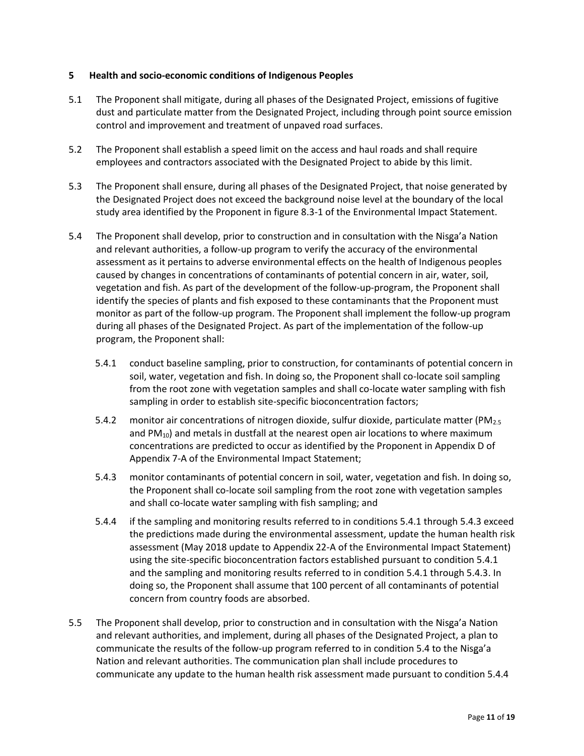### **5 Health and socio-economic conditions of Indigenous Peoples**

- 5.1 The Proponent shall mitigate, during all phases of the Designated Project, emissions of fugitive dust and particulate matter from the Designated Project, including through point source emission control and improvement and treatment of unpaved road surfaces.
- 5.2 The Proponent shall establish a speed limit on the access and haul roads and shall require employees and contractors associated with the Designated Project to abide by this limit.
- 5.3 The Proponent shall ensure, during all phases of the Designated Project, that noise generated by the Designated Project does not exceed the background noise level at the boundary of the local study area identified by the Proponent in figure 8.3-1 of the Environmental Impact Statement.
- 5.4 The Proponent shall develop, prior to construction and in consultation with the Nisga'a Nation and relevant authorities, a follow-up program to verify the accuracy of the environmental assessment as it pertains to adverse environmental effects on the health of Indigenous peoples caused by changes in concentrations of contaminants of potential concern in air, water, soil, vegetation and fish. As part of the development of the follow-up-program, the Proponent shall identify the species of plants and fish exposed to these contaminants that the Proponent must monitor as part of the follow-up program. The Proponent shall implement the follow-up program during all phases of the Designated Project. As part of the implementation of the follow-up program, the Proponent shall:
	- 5.4.1 conduct baseline sampling, prior to construction, for contaminants of potential concern in soil, water, vegetation and fish. In doing so, the Proponent shall co-locate soil sampling from the root zone with vegetation samples and shall co-locate water sampling with fish sampling in order to establish site-specific bioconcentration factors;
	- 5.4.2 monitor air concentrations of nitrogen dioxide, sulfur dioxide, particulate matter (PM<sub>2.5</sub>) and  $PM_{10}$ ) and metals in dustfall at the nearest open air locations to where maximum concentrations are predicted to occur as identified by the Proponent in Appendix D of Appendix 7-A of the Environmental Impact Statement;
	- 5.4.3 monitor contaminants of potential concern in soil, water, vegetation and fish. In doing so, the Proponent shall co-locate soil sampling from the root zone with vegetation samples and shall co-locate water sampling with fish sampling; and
	- 5.4.4 if the sampling and monitoring results referred to in conditions 5.4.1 through 5.4.3 exceed the predictions made during the environmental assessment, update the human health risk assessment (May 2018 update to Appendix 22-A of the Environmental Impact Statement) using the site-specific bioconcentration factors established pursuant to condition 5.4.1 and the sampling and monitoring results referred to in condition 5.4.1 through 5.4.3. In doing so, the Proponent shall assume that 100 percent of all contaminants of potential concern from country foods are absorbed.
- 5.5 The Proponent shall develop, prior to construction and in consultation with the Nisga'a Nation and relevant authorities, and implement, during all phases of the Designated Project, a plan to communicate the results of the follow-up program referred to in condition 5.4 to the Nisga'a Nation and relevant authorities. The communication plan shall include procedures to communicate any update to the human health risk assessment made pursuant to condition 5.4.4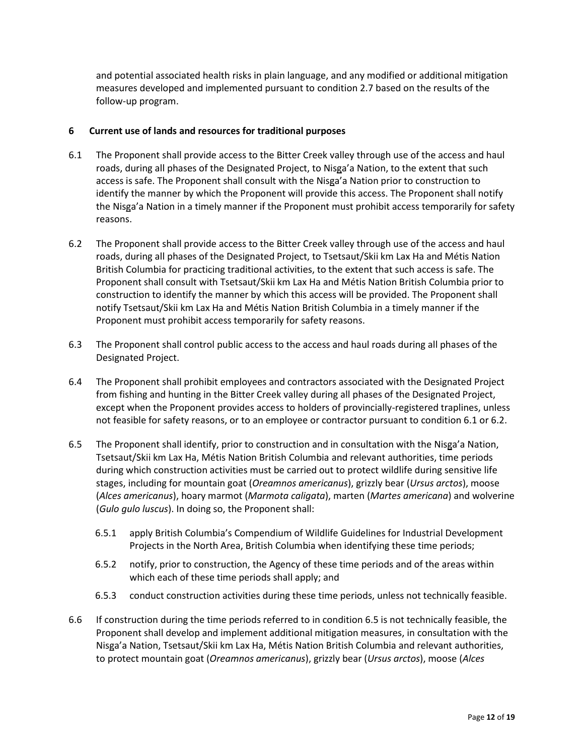and potential associated health risks in plain language, and any modified or additional mitigation measures developed and implemented pursuant to condition 2.7 based on the results of the follow-up program.

### **6 Current use of lands and resources for traditional purposes**

- 6.1 The Proponent shall provide access to the Bitter Creek valley through use of the access and haul roads, during all phases of the Designated Project, to Nisga'a Nation, to the extent that such access is safe. The Proponent shall consult with the Nisga'a Nation prior to construction to identify the manner by which the Proponent will provide this access. The Proponent shall notify the Nisga'a Nation in a timely manner if the Proponent must prohibit access temporarily for safety reasons.
- 6.2 The Proponent shall provide access to the Bitter Creek valley through use of the access and haul roads, during all phases of the Designated Project, to Tsetsaut/Skii km Lax Ha and Métis Nation British Columbia for practicing traditional activities, to the extent that such access is safe. The Proponent shall consult with Tsetsaut/Skii km Lax Ha and Métis Nation British Columbia prior to construction to identify the manner by which this access will be provided. The Proponent shall notify Tsetsaut/Skii km Lax Ha and Métis Nation British Columbia in a timely manner if the Proponent must prohibit access temporarily for safety reasons.
- 6.3 The Proponent shall control public access to the access and haul roads during all phases of the Designated Project.
- 6.4 The Proponent shall prohibit employees and contractors associated with the Designated Project from fishing and hunting in the Bitter Creek valley during all phases of the Designated Project, except when the Proponent provides access to holders of provincially-registered traplines, unless not feasible for safety reasons, or to an employee or contractor pursuant to condition 6.1 or 6.2.
- 6.5 The Proponent shall identify, prior to construction and in consultation with the Nisga'a Nation, Tsetsaut/Skii km Lax Ha, Métis Nation British Columbia and relevant authorities, time periods during which construction activities must be carried out to protect wildlife during sensitive life stages, including for mountain goat (*Oreamnos americanus*), grizzly bear (*Ursus arctos*), moose (*Alces americanus*), hoary marmot (*Marmota caligata*), marten (*Martes americana*) and wolverine (*Gulo gulo luscus*). In doing so, the Proponent shall:
	- 6.5.1 apply British Columbia's Compendium of Wildlife Guidelines for Industrial Development Projects in the North Area, British Columbia when identifying these time periods;
	- 6.5.2 notify, prior to construction, the Agency of these time periods and of the areas within which each of these time periods shall apply; and
	- 6.5.3 conduct construction activities during these time periods, unless not technically feasible.
- 6.6 If construction during the time periods referred to in condition 6.5 is not technically feasible, the Proponent shall develop and implement additional mitigation measures, in consultation with the Nisga'a Nation, Tsetsaut/Skii km Lax Ha, Métis Nation British Columbia and relevant authorities, to protect mountain goat (*Oreamnos americanus*), grizzly bear (*Ursus arctos*), moose (*Alces*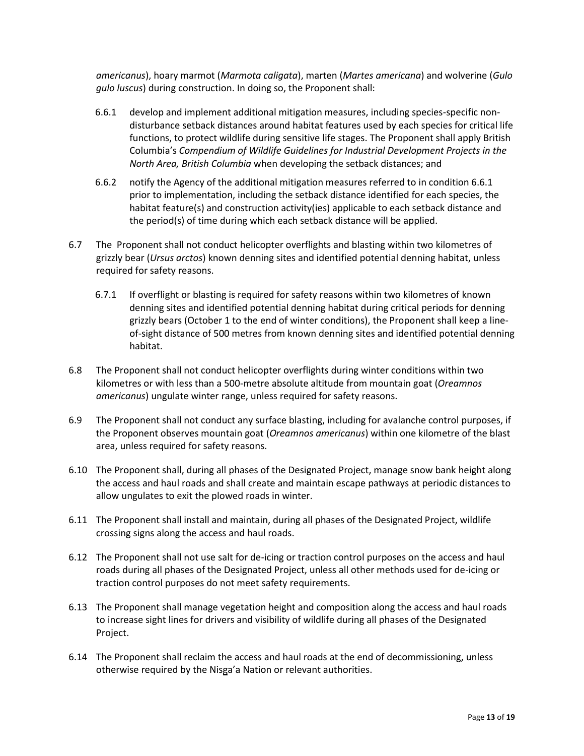*americanus*), hoary marmot (*Marmota caligata*), marten (*Martes americana*) and wolverine (*Gulo gulo luscus*) during construction. In doing so, the Proponent shall:

- 6.6.1 develop and implement additional mitigation measures, including species-specific nondisturbance setback distances around habitat features used by each species for critical life functions, to protect wildlife during sensitive life stages. The Proponent shall apply British Columbia's *Compendium of Wildlife Guidelines for Industrial Development Projects in the North Area, British Columbia* when developing the setback distances; and
- 6.6.2 notify the Agency of the additional mitigation measures referred to in condition 6.6.1 prior to implementation, including the setback distance identified for each species, the habitat feature(s) and construction activity(ies) applicable to each setback distance and the period(s) of time during which each setback distance will be applied.
- 6.7 The Proponent shall not conduct helicopter overflights and blasting within two kilometres of grizzly bear (*Ursus arctos*) known denning sites and identified potential denning habitat, unless required for safety reasons.
	- 6.7.1 If overflight or blasting is required for safety reasons within two kilometres of known denning sites and identified potential denning habitat during critical periods for denning grizzly bears (October 1 to the end of winter conditions), the Proponent shall keep a lineof-sight distance of 500 metres from known denning sites and identified potential denning habitat.
- 6.8 The Proponent shall not conduct helicopter overflights during winter conditions within two kilometres or with less than a 500-metre absolute altitude from mountain goat (*Oreamnos americanus*) ungulate winter range, unless required for safety reasons.
- 6.9 The Proponent shall not conduct any surface blasting, including for avalanche control purposes, if the Proponent observes mountain goat (*Oreamnos americanus*) within one kilometre of the blast area, unless required for safety reasons.
- 6.10 The Proponent shall, during all phases of the Designated Project, manage snow bank height along the access and haul roads and shall create and maintain escape pathways at periodic distances to allow ungulates to exit the plowed roads in winter.
- 6.11 The Proponent shall install and maintain, during all phases of the Designated Project, wildlife crossing signs along the access and haul roads.
- 6.12 The Proponent shall not use salt for de-icing or traction control purposes on the access and haul roads during all phases of the Designated Project, unless all other methods used for de-icing or traction control purposes do not meet safety requirements.
- 6.13 The Proponent shall manage vegetation height and composition along the access and haul roads to increase sight lines for drivers and visibility of wildlife during all phases of the Designated Project.
- 6.14 The Proponent shall reclaim the access and haul roads at the end of decommissioning, unless otherwise required by the Nisga'a Nation or relevant authorities.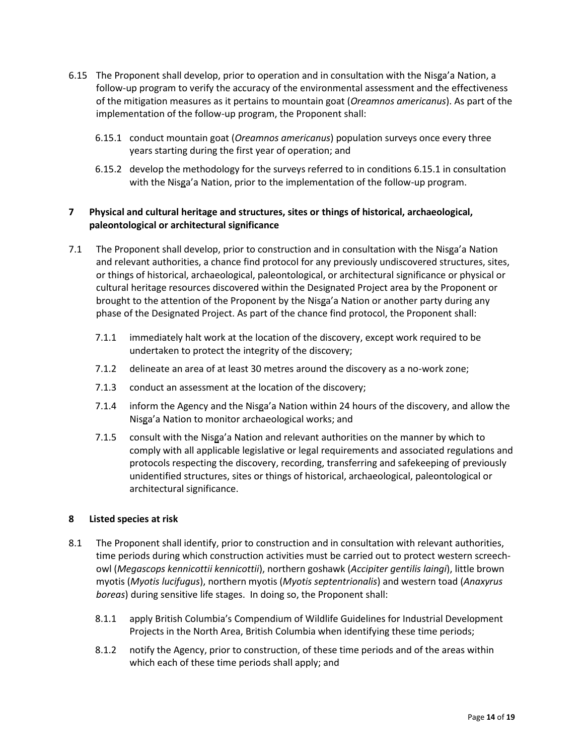- 6.15 The Proponent shall develop, prior to operation and in consultation with the Nisga'a Nation, a follow-up program to verify the accuracy of the environmental assessment and the effectiveness of the mitigation measures as it pertains to mountain goat (*Oreamnos americanus*). As part of the implementation of the follow-up program, the Proponent shall:
	- 6.15.1 conduct mountain goat (*Oreamnos americanus*) population surveys once every three years starting during the first year of operation; and
	- 6.15.2 develop the methodology for the surveys referred to in conditions 6.15.1 in consultation with the Nisga'a Nation, prior to the implementation of the follow-up program.

# **7 Physical and cultural heritage and structures, sites or things of historical, archaeological, paleontological or architectural significance**

- 7.1 The Proponent shall develop, prior to construction and in consultation with the Nisga'a Nation and relevant authorities, a chance find protocol for any previously undiscovered structures, sites, or things of historical, archaeological, paleontological, or architectural significance or physical or cultural heritage resources discovered within the Designated Project area by the Proponent or brought to the attention of the Proponent by the Nisga'a Nation or another party during any phase of the Designated Project. As part of the chance find protocol, the Proponent shall:
	- 7.1.1 immediately halt work at the location of the discovery, except work required to be undertaken to protect the integrity of the discovery;
	- 7.1.2 delineate an area of at least 30 metres around the discovery as a no-work zone;
	- 7.1.3 conduct an assessment at the location of the discovery;
	- 7.1.4 inform the Agency and the Nisga'a Nation within 24 hours of the discovery, and allow the Nisga'a Nation to monitor archaeological works; and
	- 7.1.5 consult with the Nisga'a Nation and relevant authorities on the manner by which to comply with all applicable legislative or legal requirements and associated regulations and protocols respecting the discovery, recording, transferring and safekeeping of previously unidentified structures, sites or things of historical, archaeological, paleontological or architectural significance.

## **8 Listed species at risk**

- 8.1 The Proponent shall identify, prior to construction and in consultation with relevant authorities, time periods during which construction activities must be carried out to protect western screechowl (*Megascops kennicottii kennicottii*), northern goshawk (*Accipiter gentilis laingi*), little brown myotis (*Myotis lucifugus*), northern myotis (*Myotis septentrionalis*) and western toad (*Anaxyrus boreas*) during sensitive life stages. In doing so, the Proponent shall:
	- 8.1.1 apply British Columbia's Compendium of Wildlife Guidelines for Industrial Development Projects in the North Area, British Columbia when identifying these time periods;
	- 8.1.2 notify the Agency, prior to construction, of these time periods and of the areas within which each of these time periods shall apply; and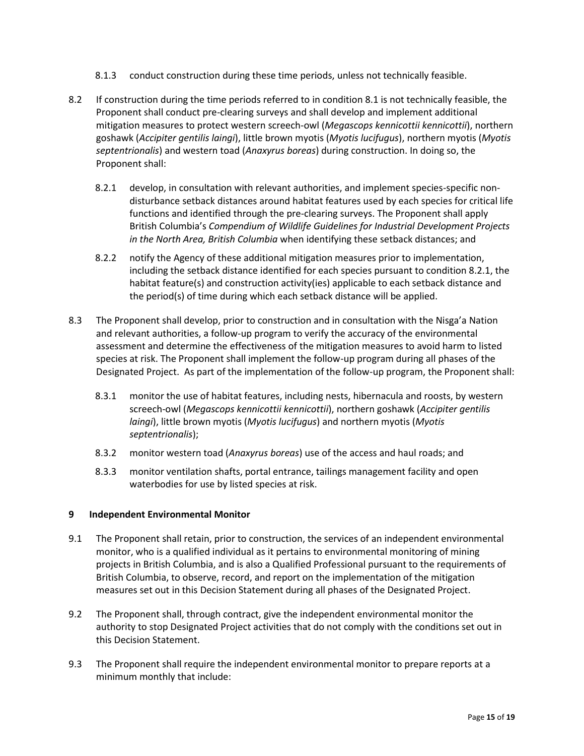- 8.1.3 conduct construction during these time periods, unless not technically feasible.
- 8.2 If construction during the time periods referred to in condition 8.1 is not technically feasible, the Proponent shall conduct pre-clearing surveys and shall develop and implement additional mitigation measures to protect western screech-owl (*Megascops kennicottii kennicottii*), northern goshawk (*Accipiter gentilis laingi*), little brown myotis (*Myotis lucifugus*), northern myotis (*Myotis septentrionalis*) and western toad (*Anaxyrus boreas*) during construction. In doing so, the Proponent shall:
	- 8.2.1 develop, in consultation with relevant authorities, and implement species-specific nondisturbance setback distances around habitat features used by each species for critical life functions and identified through the pre-clearing surveys. The Proponent shall apply British Columbia's *Compendium of Wildlife Guidelines for Industrial Development Projects in the North Area, British Columbia* when identifying these setback distances; and
	- 8.2.2 notify the Agency of these additional mitigation measures prior to implementation, including the setback distance identified for each species pursuant to condition 8.2.1, the habitat feature(s) and construction activity(ies) applicable to each setback distance and the period(s) of time during which each setback distance will be applied.
- 8.3 The Proponent shall develop, prior to construction and in consultation with the Nisga'a Nation and relevant authorities, a follow-up program to verify the accuracy of the environmental assessment and determine the effectiveness of the mitigation measures to avoid harm to listed species at risk. The Proponent shall implement the follow-up program during all phases of the Designated Project. As part of the implementation of the follow-up program, the Proponent shall:
	- 8.3.1 monitor the use of habitat features, including nests, hibernacula and roosts, by western screech-owl (*Megascops kennicottii kennicottii*), northern goshawk (*Accipiter gentilis laingi*), little brown myotis (*Myotis lucifugus*) and northern myotis (*Myotis septentrionalis*);
	- 8.3.2 monitor western toad (*Anaxyrus boreas*) use of the access and haul roads; and
	- 8.3.3 monitor ventilation shafts, portal entrance, tailings management facility and open waterbodies for use by listed species at risk.

# **9 Independent Environmental Monitor**

- 9.1 The Proponent shall retain, prior to construction, the services of an independent environmental monitor, who is a qualified individual as it pertains to environmental monitoring of mining projects in British Columbia, and is also a Qualified Professional pursuant to the requirements of British Columbia, to observe, record, and report on the implementation of the mitigation measures set out in this Decision Statement during all phases of the Designated Project.
- 9.2 The Proponent shall, through contract, give the independent environmental monitor the authority to stop Designated Project activities that do not comply with the conditions set out in this Decision Statement.
- 9.3 The Proponent shall require the independent environmental monitor to prepare reports at a minimum monthly that include: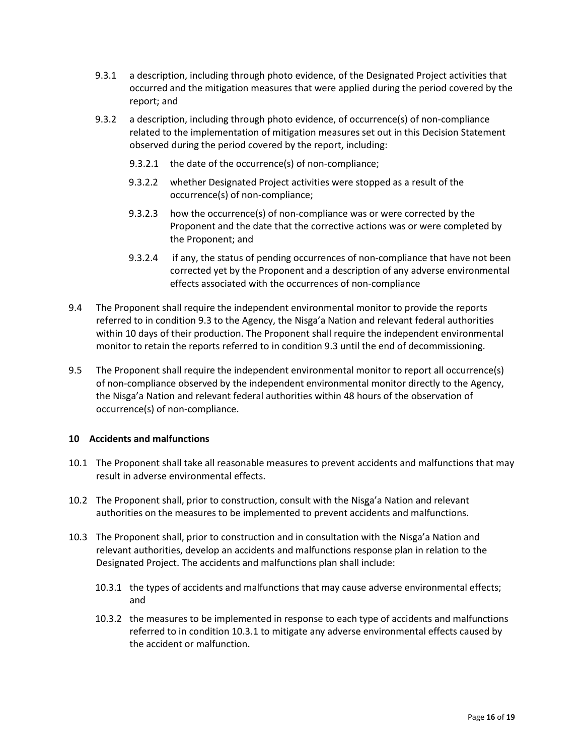- 9.3.1 a description, including through photo evidence, of the Designated Project activities that occurred and the mitigation measures that were applied during the period covered by the report; and
- 9.3.2 a description, including through photo evidence, of occurrence(s) of non-compliance related to the implementation of mitigation measures set out in this Decision Statement observed during the period covered by the report, including:
	- 9.3.2.1 the date of the occurrence(s) of non-compliance;
	- 9.3.2.2 whether Designated Project activities were stopped as a result of the occurrence(s) of non-compliance;
	- 9.3.2.3 how the occurrence(s) of non-compliance was or were corrected by the Proponent and the date that the corrective actions was or were completed by the Proponent; and
	- 9.3.2.4 if any, the status of pending occurrences of non-compliance that have not been corrected yet by the Proponent and a description of any adverse environmental effects associated with the occurrences of non-compliance
- 9.4 The Proponent shall require the independent environmental monitor to provide the reports referred to in condition 9.3 to the Agency, the Nisga'a Nation and relevant federal authorities within 10 days of their production. The Proponent shall require the independent environmental monitor to retain the reports referred to in condition 9.3 until the end of decommissioning.
- 9.5 The Proponent shall require the independent environmental monitor to report all occurrence(s) of non-compliance observed by the independent environmental monitor directly to the Agency, the Nisga'a Nation and relevant federal authorities within 48 hours of the observation of occurrence(s) of non-compliance.

## **10 Accidents and malfunctions**

- 10.1 The Proponent shall take all reasonable measures to prevent accidents and malfunctions that may result in adverse environmental effects.
- 10.2 The Proponent shall, prior to construction, consult with the Nisga'a Nation and relevant authorities on the measures to be implemented to prevent accidents and malfunctions.
- 10.3 The Proponent shall, prior to construction and in consultation with the Nisga'a Nation and relevant authorities, develop an accidents and malfunctions response plan in relation to the Designated Project. The accidents and malfunctions plan shall include:
	- 10.3.1 the types of accidents and malfunctions that may cause adverse environmental effects; and
	- 10.3.2 the measures to be implemented in response to each type of accidents and malfunctions referred to in condition 10.3.1 to mitigate any adverse environmental effects caused by the accident or malfunction.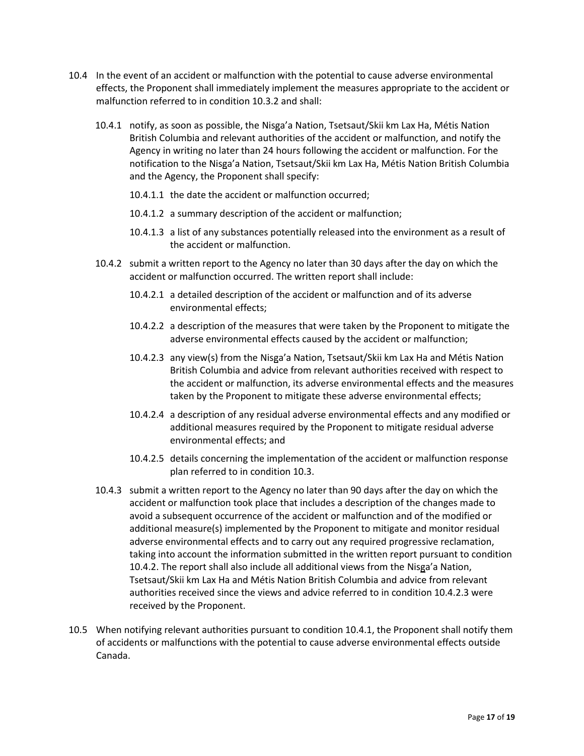- 10.4 In the event of an accident or malfunction with the potential to cause adverse environmental effects, the Proponent shall immediately implement the measures appropriate to the accident or malfunction referred to in condition 10.3.2 and shall:
	- 10.4.1 notify, as soon as possible, the Nisga'a Nation, Tsetsaut/Skii km Lax Ha, Métis Nation British Columbia and relevant authorities of the accident or malfunction, and notify the Agency in writing no later than 24 hours following the accident or malfunction. For the notification to the Nisga'a Nation, Tsetsaut/Skii km Lax Ha, Métis Nation British Columbia and the Agency, the Proponent shall specify:
		- 10.4.1.1 the date the accident or malfunction occurred;
		- 10.4.1.2 a summary description of the accident or malfunction;
		- 10.4.1.3 a list of any substances potentially released into the environment as a result of the accident or malfunction.
	- 10.4.2 submit a written report to the Agency no later than 30 days after the day on which the accident or malfunction occurred. The written report shall include:
		- 10.4.2.1 a detailed description of the accident or malfunction and of its adverse environmental effects;
		- 10.4.2.2 a description of the measures that were taken by the Proponent to mitigate the adverse environmental effects caused by the accident or malfunction;
		- 10.4.2.3 any view(s) from the Nisga'a Nation, Tsetsaut/Skii km Lax Ha and Métis Nation British Columbia and advice from relevant authorities received with respect to the accident or malfunction, its adverse environmental effects and the measures taken by the Proponent to mitigate these adverse environmental effects;
		- 10.4.2.4 a description of any residual adverse environmental effects and any modified or additional measures required by the Proponent to mitigate residual adverse environmental effects; and
		- 10.4.2.5 details concerning the implementation of the accident or malfunction response plan referred to in condition 10.3.
	- 10.4.3 submit a written report to the Agency no later than 90 days after the day on which the accident or malfunction took place that includes a description of the changes made to avoid a subsequent occurrence of the accident or malfunction and of the modified or additional measure(s) implemented by the Proponent to mitigate and monitor residual adverse environmental effects and to carry out any required progressive reclamation, taking into account the information submitted in the written report pursuant to condition 10.4.2. The report shall also include all additional views from the Nisga'a Nation, Tsetsaut/Skii km Lax Ha and Métis Nation British Columbia and advice from relevant authorities received since the views and advice referred to in condition 10.4.2.3 were received by the Proponent.
- 10.5 When notifying relevant authorities pursuant to condition 10.4.1, the Proponent shall notify them of accidents or malfunctions with the potential to cause adverse environmental effects outside Canada.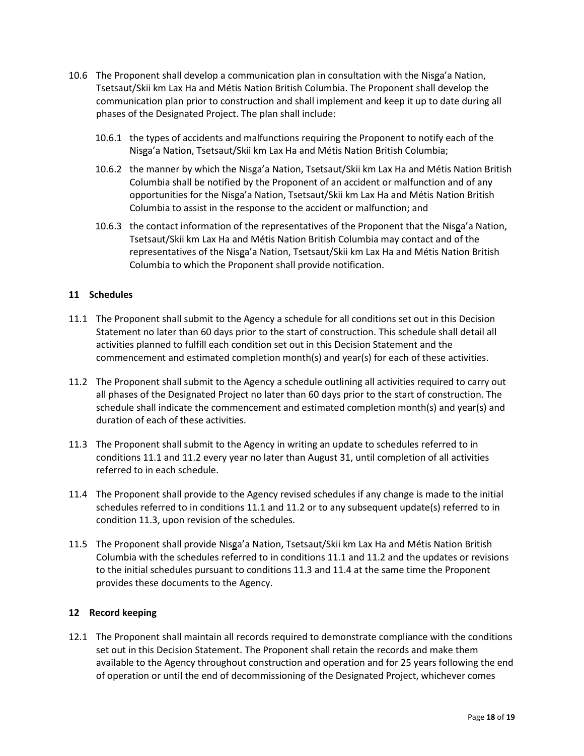- 10.6 The Proponent shall develop a communication plan in consultation with the Nisga'a Nation, Tsetsaut/Skii km Lax Ha and Métis Nation British Columbia. The Proponent shall develop the communication plan prior to construction and shall implement and keep it up to date during all phases of the Designated Project. The plan shall include:
	- 10.6.1 the types of accidents and malfunctions requiring the Proponent to notify each of the Nisga'a Nation, Tsetsaut/Skii km Lax Ha and Métis Nation British Columbia;
	- 10.6.2 the manner by which the Nisga'a Nation, Tsetsaut/Skii km Lax Ha and Métis Nation British Columbia shall be notified by the Proponent of an accident or malfunction and of any opportunities for the Nisga'a Nation, Tsetsaut/Skii km Lax Ha and Métis Nation British Columbia to assist in the response to the accident or malfunction; and
	- 10.6.3 the contact information of the representatives of the Proponent that the Nisga'a Nation, Tsetsaut/Skii km Lax Ha and Métis Nation British Columbia may contact and of the representatives of the Nisga'a Nation, Tsetsaut/Skii km Lax Ha and Métis Nation British Columbia to which the Proponent shall provide notification.

### **11 Schedules**

- 11.1 The Proponent shall submit to the Agency a schedule for all conditions set out in this Decision Statement no later than 60 days prior to the start of construction. This schedule shall detail all activities planned to fulfill each condition set out in this Decision Statement and the commencement and estimated completion month(s) and year(s) for each of these activities.
- 11.2 The Proponent shall submit to the Agency a schedule outlining all activities required to carry out all phases of the Designated Project no later than 60 days prior to the start of construction. The schedule shall indicate the commencement and estimated completion month(s) and year(s) and duration of each of these activities.
- 11.3 The Proponent shall submit to the Agency in writing an update to schedules referred to in conditions 11.1 and 11.2 every year no later than August 31, until completion of all activities referred to in each schedule.
- 11.4 The Proponent shall provide to the Agency revised schedules if any change is made to the initial schedules referred to in conditions 11.1 and 11.2 or to any subsequent update(s) referred to in condition 11.3, upon revision of the schedules.
- 11.5 The Proponent shall provide Nisga'a Nation, Tsetsaut/Skii km Lax Ha and Métis Nation British Columbia with the schedules referred to in conditions 11.1 and 11.2 and the updates or revisions to the initial schedules pursuant to conditions 11.3 and 11.4 at the same time the Proponent provides these documents to the Agency.

#### **12 Record keeping**

12.1 The Proponent shall maintain all records required to demonstrate compliance with the conditions set out in this Decision Statement. The Proponent shall retain the records and make them available to the Agency throughout construction and operation and for 25 years following the end of operation or until the end of decommissioning of the Designated Project, whichever comes